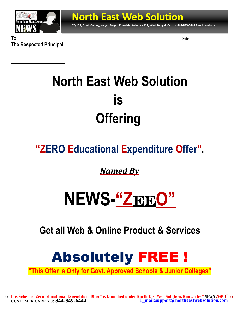

**62/155, Govt. Colony, Kalyan Nagar, Khardah, Kolkata - 112, West Bengal, Call us: 844-849-6444 Email: Website:**

**To** Date: **The Respected Principal**

> **North East Web Solution is Offering**

**North East Web Solution**

## **"ZERO Educational Expenditure Offer".**

*Named By*

# $NEWS (2)$ **EEO"**

**Get all Web & Online Product & Services**



**"This Offer is Only for Govt. Approved Schools & Junior Colleges"**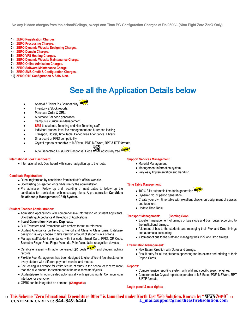No any Hidden charges from the school/College, except one Time PG Configuration Charges of Rs.9800/- (Nine Eight Zero ZerO Only).

- **1) ZERO Registration Charges.**
- **2) ZERO Processing Charges.**
- **3) ZERO Dynamic Website Designing Charges.**
- **4) ZERO Domain Charges.**
- **5) ZERO VPS Hosting Charges.**
- **6) ZERO Dynamic Website Maintenance Charge.**
- **7) ZERO Online Admission Charges.**
- **8) ZERO Software Maintenance Charge.**
- **9) ZERO SMS Credit & Configuration Charges.**
- **10) ZERO OTP Configuration & SMS Alert.**

## See all the Application Details below

- Android & Tablet PC Compatibility
- Inventory & Stock reports.
- Purchase Order & GRN.
- Automatic Bar code generation.
- Campus & curriculum Management.
- 
- **SMS** to students, Teaching and Non Teaching staff.
- Individual student level fee management and future fee locking. Transport, Hostel, Time Table, Period wise Attendance, Library.
- 
- Smart card or RFID compatibility.
- Crystal reports exportable to MSExcel, PDF, MSWord, RPT & RTF formats.
- Auto Generated QR (Quick Response) Code absolutely free MEW!

#### **International Look Dashboard**

• International look Dashboard with iconic navigation up to the roots.

#### **Candidate Registration:**

- Direct registration by candidates from institute's official website.
- Short listing & Rejection of candidature by the administrator.
- Pre admission Follow up and recording of next dates to follow up the candidates for admissions with necessary alerts. A pre-admission **Candidate Relationship Management (CRM) System.**

#### **Student Teacher Administration**:

- Admission Applications with comprehensive information of Student Applicants. Short listing, Acceptance & Rejection of Applications.
- **I-card Generation- New and Duplicate.**
- Bulk Transfers and Promotions with archive for future reference.
- Student Attendance on Period to Period and Class to Class basis. Database designing is very concise to take very big amount of students in a college.
- Manage staff/student attendance with Bar code, Smart Card, RFID, QR Code, Biometric Finger Print, Finger Vein, Iris, Palm Vein, facial recognition devices.
- **Certificate issues with auto generated QR code <b>NEW!** and Student activity records.
- Flexible Fee Management has been designed to give different fee structures to every student with different payment months and modes.
- Fee locking in advance for entire tenure of study in the school or receive more than the due amount for settlement in the next semesters/years.
- Students/parents login created automatically with specific rights. Common login interface for everyone.
- GPRS can be integrated on demand. (**Chargeable**)

#### **Support Services Management**

- Material Management.
- Management Information system.
- Very easy Implementation and handling.

#### **Time Table Management:**

- 100% fully automatic time table generation **NEW!**
- Dynamic No. of period generation.
- Create your own time table with excellent checks on assignment of classes and teachers.
- Update Time Table

#### **Transport Management:** (**Coming Soon**)

- Excellent management of timings of bus stops and bus routes according to the Institutional timings.
- Allotment of bus to the students and managing their Pick and Drop timings and automatic accounting.
- Allotment of bus to the staff and managing their Pick and Drop timings.

#### **Examination Management:**

- New Exam. Creation with Dates and timings.
- Result entry for all the students appearing for the exams and printing of their Report Cards.

#### **Reports:**

- Comprehensive reporting system with wild and specific search engines.
- Comprehensive Crystal reports exportable to MS Excel, PDF, MSWord, RPT & RTF formats.

#### **Login panel & user rights:**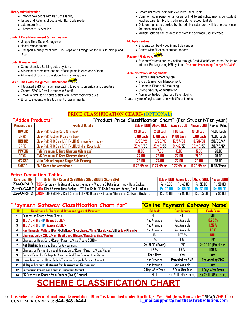#### **Library Administration:**

- Entry of new books with Bar Code facility.
- Issues and Returns of books with Bar Code reader.
- Late return fine.
- Library card Generation.

#### **Student Care Management & Examination:**

- Unique Time Table Management.
- Hostel Management.
- Transport Management with Bus Stops and timings for the bus to pickup and Drop.

#### **Hostel Management:**

- Comprehensive Building setup system.
- Allotment of room type and no. of occupants in each one of them.
- Allotment of rooms to the students on sharing basis.

## **SMS & Email with assignment attachment:**

- Integrated SMS for instant messaging to parents on arrival and departure.
- General SMS & Email to students & staff.
- EMAIL & SMS to students & staff with library book over dues.
- Email to students with attachment of assignments.
- Create unlimited users with exclusive users' rights.
- Common login panel for all users with different rights, may it be student, teacher, parents, librarian, administrator or accountant etc.
- Different rights as decided by the administrator are available to every user for utmost security.
- Multiple schools can be accessed from the common user interface.

#### **Multiple centres:**

- Students can be divided in multiple centres.
- Centre wise filtration of student reports.

## Payment Gateway: NEW!

 Students/Parents can pay online through Credit/Debit/Cash cards/ Wallet or Internet Banking using IVR system. (**One time Processing Charge Rs.9800/-)**

#### **Administration Management:**

- Payroll Management System.
- Stores & Inventory Management.
- Automatic Financial Accounting.
- Strong Security Administration.
- Admin controlled rights for different logins.

Create any no. of logins each one with different rights

#### **PRICE CLASSIFICATION CHART- (OPTIONAL)**

#### **"Addon Products" "Product Price Classification Chart"** (Per Student/Per year)

| <b>Product Code</b> | <b>Product Details</b>                             | <b>Below 1000</b> | Above 1000        | <b>Above 3000</b> | Above 5000        | Normal Price    |
|---------------------|----------------------------------------------------|-------------------|-------------------|-------------------|-------------------|-----------------|
| <b>BPVCIC</b>       | <b>Blank PVC Pasting Card (Chinese)</b>            | 13.00 Each        | 12.00 Each        | 11.00 Each        | 10.00 Each        | 14.00 Each      |
| <b>BPVCII</b>       | <b>Blank PVC Pasting ID Card (Indian)</b>          | 16.00 Each        | <b>15.00 Each</b> | <b>14.00 Each</b> | <b>13.00 Each</b> | 18.00 Each      |
| Brfidc              | Blank PVC RFID Card LF/HF/UHF (Chinese Rewritable) | 19/29/42          | 18/28/40          | 17/27/38          | 16/26/36          | 20/35/44        |
| BRFIDI              | Blank PVC RFID Card LF/HF/UHF/(Indian Rewritable)  | 26/44/58          | 25/43/55          | 24/42/53          | 23/40/50          | <b>28/45/64</b> |
| <b>PPVCIC</b>       | <b>PVC Premium ID Card Charges (Chineese)</b>      | 18.00             | 17.00             | 16.00             | 15.00             | 20.00           |
| <b>PPVCII</b>       | <b>PVC Premium ID Card Charges (Indian)</b>        | 24.00             | 23.00             | 22.00             | 21.00             | 25.00           |
| <b>MCLSSP</b>       | Multi Colour Lanyard Single Side Printing          | 26.00             | 24.00             | 22.00             | 20.00             | 28.00           |
| <b>SMSCO1</b>       | <b>SMS Credit for Attendance</b>                   | 0.26/Paisa        | D.24/Paisa        | 0.22/Paisa        | 0.20/Paisa        | 0.28/Paisa      |

#### **Price Deduction Table:**

| <b>Card Quantity</b> | Under HSN Code of 392610998 39204900 & SAC-99841                                                                                     |              |                   | Below 1000   Above 1000   Above 3000   Above 5000 |           |
|----------------------|--------------------------------------------------------------------------------------------------------------------------------------|--------------|-------------------|---------------------------------------------------|-----------|
|                      | $\mathsf Z$ eeO-PAID $\mathsf F\mathsf{REE}\texttt +$ Service with Student Support Number + Website & Data Securities + Data Backup. | Rs. 45.00 I  | $\sqrt{8s.40.00}$ | <sup>'</sup> Rs. 35.00                            | Rs. 30.00 |
|                      | <b>ZeeO-CARD PAD+</b> Cloud Server Data Backup + PVC Bar Code+QR Code Premium Identity Card (Indian).                                |              |                   | Rs. 70.00   Rs. 65.00   Rs. 60.00   Rs. 55.00     |           |
|                      | ZeeO-RFID CARD+ UHF PVC RFID Card (Instead of PVC ID Card) with Auto Attendance Software (Indian).                                   | Rs. 125.00 i | Rs. 115.00        | Rs. 105.00                                        | Rs. 95.00 |

### **"Payment Gateway Classification Chart for" "Online Payment Gateway Name"**

| $SI$ No $I$ | <b>Conditions &amp; Charges of Different types of Payment</b>                        | <b>Billdesk</b>          | <b>PayUMoney</b>       | <b>Cash Free</b>       |
|-------------|--------------------------------------------------------------------------------------|--------------------------|------------------------|------------------------|
| 1           | <b>Processing Charge from Clients</b>                                                | NILL                     | NILL                   | NILL                   |
| 2           | TEJ / UPI & BHIM Below 2000/-                                                        | Not Available            | Not Available          | 0.25%                  |
| 3           | TEJ / UPI & BHIM Above 2000/-                                                        | Not Available            | Not Available          | 1.25%                  |
| 4           | Pay through Wallets (PayTM/JioMoney/FreeCharge/Airtel/Google Pay/SBI Buddy/Phone Pe) | Not Available            | Not Available          | $1.9\%$                |
| 5           | Charges Below 2000/- on Debit Card (Rupay/Maestro/Visa/Master)                       | 1%                       | $0.75\,\%$             | NILL                   |
| 6           | Charges on Debit Card (Rupay/Maestro/Visa (Above 2000/-)                             | l %                      | l %                    | 1%                     |
| 7           | Net Banking from any Bank for Any Amount                                             | <b>Rs. 19.00 (Fixed)</b> | 1.9%                   | Rs. 29.00 (Per/Fixed)  |
| 8           | Charges on Payment through Credit Card/Rupay/Maestro/Visa/Maser)                     | 1.5%                     | 1.5%                   | 1.65%                  |
| 9           | Control Panel for College to View the Real Time Transaction Status                   | Can't Have               | Yes                    | Yes:                   |
| 10          | Issue Transaction ID for Failed/Bounce/Dropped/Pending Amount                        | <b>Not Provided</b>      | <b>Provided by SMS</b> | <b>Provided by SMS</b> |
| 11          | Multiple Account Allotment for Transaction Settlement                                | Not Available            | Not Available          | Yes:                   |
| 12          | Settlement Amount will Credit in Customer Account                                    | 3 Days After Trans       | 2 Days After Tran      | 1 Days After Trans     |
| 13          | PG Processing Charge from Student (Fixed) Optional                                   | NILL                     | Rs. 25.00 (Per Trans)  | Rs. 29.00 (Per Trans)  |

## **SCHEME CLASSIFICATION CHART**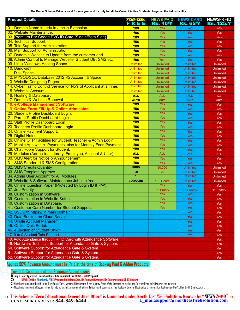**The Below Scheme Price is valid for one year and its only for all the Current Active Students, to get all the below facility.**

| 01. Domain Name in .edu.in / .ac.in Extension.<br><b>YES</b><br><b>Yes</b><br>Yes<br>Yes<br>02. Website Maintenance.<br><b>YES</b><br>Yes<br>Yes<br>Yes<br>03. Premium Bar Coded PVC ID Card (Single/Both Side).<br><b>YES</b><br>Yes<br>Yes<br>Yes<br>04. Technical Support.<br><b>YES</b><br>Yes<br>Yes<br>Yes<br>05. Tele Support for Administration.<br><b>YES</b><br>Yes<br>Yes<br>Yes<br>06. Mail Support for Administration.<br><b>YES</b><br>Yes<br>Yes<br><b>Yes</b><br>07. Dynamic Website to Update from the customer end.<br><b>YES</b><br>Yes<br>Yes<br>Yes<br>08. Admin Control to Manage Website, Student DB, SMS etc.<br><b>YES</b><br>Yes<br>Yes<br>Yes<br>09. Linux/Windows Hosting Space.<br><b>Unlimited</b><br><b>Unlimited</b><br>Unlimited<br><b>Unlimited</b><br>10. Bandwidth.<br><b>Unlimited</b><br>Unlimited<br><b>Unlimited</b><br><b>Unlimited</b><br>11. Disk Space.<br><b>Unlimited</b><br><b>Unlimited</b><br>Unlimited<br><b>Unlimited</b><br>12. MYSQL/SQL Database 2012 R2 Account & Space.<br><b>Unlimited</b><br><b>Unlimited</b><br><b>Unlimited</b><br><b>Unlimited</b><br><b>Unlimited</b><br>13. Website Designing Pages.<br><b>Unlimited</b><br><b>Unlimited</b><br><b>Unlimited</b><br><b>Unlimited</b><br>14. Cyber Traffic Control Service for No's of Applicant at a Time.<br>Unlimited<br><b>Unlimited</b><br><b>Unlimited</b><br>15. Webmail Account.<br><b>Unlimited</b><br><b>Unlimited</b><br><b>Unlimited</b><br><b>Unlimited</b><br>16. Hosting & Database.<br><b>ALL</b><br><b>ALL</b><br><b>ALL</b><br><b>ALL</b><br>17. Domain & Website Renewal.<br><b>AUTO</b><br>Auto<br>Auto<br>Auto<br><b>YES</b><br>Yes<br>18. e-College Management Software.<br>Yes<br>Yes<br><b>YES</b><br>19. Online Form Fill-Up & Online Admission.<br><b>Yes</b><br>Yes<br>Yes<br>YES<br>Yes<br>20. Student Profile Dashboard Login.<br>Yes<br>Yes<br><b>YES</b><br>Yes<br>21. Parent Profile Dashboard Login.<br>Yes<br>Yes<br><b>YES</b><br>22. Staff Profile Dashboard Login.<br><b>Yes</b><br>Yes<br>Yes<br>23. Teachers Profile Dashboard Login.<br><b>YES</b><br><b>Yes</b><br>Yes<br>Yes<br><b>YES</b><br>24. Online Payment Support.<br>Yes<br>Yes<br>Yes<br><b>YES</b><br>25. Digital Notes.<br><b>Yes</b><br>Yes<br>Yes<br><b>YES</b><br>26. Online OTP Facilities for Student, Teacher & Admin Login.<br>Yes<br>Yes<br>Yes<br><b>YES</b><br>27. Mobile App with e- Payments, also for Monthly Fees Payment.<br>Yes<br>Yes<br>Yes<br><b>YES</b><br>Yes<br>28. Chat Room Support for Student.<br>Yes<br>Yes<br><b>ALL</b><br>29. Modules (Admission, Library, Employee, Account & User).<br><b>ALL</b><br><b>ALL</b><br><b>ALL</b><br><b>YES</b><br>30. SMS Alert for Notice & Announcement.<br>Yes<br>Yes<br>Yes<br>YES<br>31. SMS Sender Id & SMS Configuration.<br><b>Yes</b><br>Yes<br>Yes<br>32. SMS Credits Quantity.<br>5000<br>50,000<br><b>Unlimited</b><br><b>Unlimited</b><br>33. SMS Template Approve.<br>$\overline{10}$<br>20<br>Unlimited<br><b>Unlimited</b><br>$\overline{3}$<br>$\overline{\mathbf{1}}$<br>34. Admin User Account for All Modules.<br><b>Unlimited</b><br><b>Unlimited</b><br>35. Website & Software Maintenance Job in a Year.<br>10 HOURS<br>100 Hours<br><b>Unlimited</b><br>Unlimited<br>Yes<br>36. Online Question Paper (Protected by Login ID & PW).<br>Yes<br>Yes<br>37. Job Priority.<br>2 <sup>nd</sup> Prority<br>1 <sup>st</sup> Priority<br>1 <sup>st</sup> Priority<br>38. Customization in Software.<br><b>Yes</b><br>Yes<br><b>Yes</b><br>39. Customization in Website Setup.<br><b>Yes</b><br>Yes<br>Yes<br>40. Customization in Database.<br><b>Yes</b><br><b>Yes</b><br><b>Yes</b><br>41. Customer Care Number for Student Support.<br><b>Yes</b><br><b>Yes</b><br><b>Yes</b><br>42. SSL with https:// in main Domain.<br>Yes<br><b>Yes</b><br>43. Data Backup on Cloud Server.<br>Yes<br><b>Yes</b><br>44. Single Account Manager.<br><b>Yes</b><br><b>Yes</b><br>45. Online Quiz Portal.<br><b>Yes</b><br>Yes<br>46. eElection of Student Union<br>Yes<br><b>Yes</b><br>47.9 to 9 Student Tele Support<br><b>Yes</b><br>Yes<br>48. Auto Attendance through RFID Card with Attendance Software.<br><b>Yes</b><br>49. Hardware Technical Support for Attendance Gate & System.<br>Yes<br>50. Software Support for Attendance Gate & System.<br>Yes<br>51. Software Support for Attendance Gate & System.<br>Yes | <b>Product Details</b>                             | <b>NAVS-ZRRO</b><br>FREE | <b>NEWS-PAID</b> | <b>NEWS-CARD</b> | <b>NEWS-RFID</b> |
|--------------------------------------------------------------------------------------------------------------------------------------------------------------------------------------------------------------------------------------------------------------------------------------------------------------------------------------------------------------------------------------------------------------------------------------------------------------------------------------------------------------------------------------------------------------------------------------------------------------------------------------------------------------------------------------------------------------------------------------------------------------------------------------------------------------------------------------------------------------------------------------------------------------------------------------------------------------------------------------------------------------------------------------------------------------------------------------------------------------------------------------------------------------------------------------------------------------------------------------------------------------------------------------------------------------------------------------------------------------------------------------------------------------------------------------------------------------------------------------------------------------------------------------------------------------------------------------------------------------------------------------------------------------------------------------------------------------------------------------------------------------------------------------------------------------------------------------------------------------------------------------------------------------------------------------------------------------------------------------------------------------------------------------------------------------------------------------------------------------------------------------------------------------------------------------------------------------------------------------------------------------------------------------------------------------------------------------------------------------------------------------------------------------------------------------------------------------------------------------------------------------------------------------------------------------------------------------------------------------------------------------------------------------------------------------------------------------------------------------------------------------------------------------------------------------------------------------------------------------------------------------------------------------------------------------------------------------------------------------------------------------------------------------------------------------------------------------------------------------------------------------------------------------------------------------------------------------------------------------------------------------------------------------------------------------------------------------------------------------------------------------------------------------------------------------------------------------------------------------------------------------------------------------------------------------------------------------------------------------------------------------------------------------------------------------------------------------------------------------------------------------------------------------------------------------------------------------------------------------------------------------------------------------------------------------------------------------------------------------------------------------------------------------------------------------------------------------------------------------------------------------------------------------------------------------------------------------------------------------------------------------------------------------------------------------------------------------------------------------------------------------------------------------------|----------------------------------------------------|--------------------------|------------------|------------------|------------------|
|                                                                                                                                                                                                                                                                                                                                                                                                                                                                                                                                                                                                                                                                                                                                                                                                                                                                                                                                                                                                                                                                                                                                                                                                                                                                                                                                                                                                                                                                                                                                                                                                                                                                                                                                                                                                                                                                                                                                                                                                                                                                                                                                                                                                                                                                                                                                                                                                                                                                                                                                                                                                                                                                                                                                                                                                                                                                                                                                                                                                                                                                                                                                                                                                                                                                                                                                                                                                                                                                                                                                                                                                                                                                                                                                                                                                                                                                                                                                                                                                                                                                                                                                                                                                                                                                                                                                                                                                                    |                                                    |                          | <b>Rs. 40/Y</b>  | <b>Rs. 65/Y</b>  | <b>Rs. 125/Y</b> |
|                                                                                                                                                                                                                                                                                                                                                                                                                                                                                                                                                                                                                                                                                                                                                                                                                                                                                                                                                                                                                                                                                                                                                                                                                                                                                                                                                                                                                                                                                                                                                                                                                                                                                                                                                                                                                                                                                                                                                                                                                                                                                                                                                                                                                                                                                                                                                                                                                                                                                                                                                                                                                                                                                                                                                                                                                                                                                                                                                                                                                                                                                                                                                                                                                                                                                                                                                                                                                                                                                                                                                                                                                                                                                                                                                                                                                                                                                                                                                                                                                                                                                                                                                                                                                                                                                                                                                                                                                    |                                                    |                          |                  |                  |                  |
|                                                                                                                                                                                                                                                                                                                                                                                                                                                                                                                                                                                                                                                                                                                                                                                                                                                                                                                                                                                                                                                                                                                                                                                                                                                                                                                                                                                                                                                                                                                                                                                                                                                                                                                                                                                                                                                                                                                                                                                                                                                                                                                                                                                                                                                                                                                                                                                                                                                                                                                                                                                                                                                                                                                                                                                                                                                                                                                                                                                                                                                                                                                                                                                                                                                                                                                                                                                                                                                                                                                                                                                                                                                                                                                                                                                                                                                                                                                                                                                                                                                                                                                                                                                                                                                                                                                                                                                                                    |                                                    |                          |                  |                  |                  |
|                                                                                                                                                                                                                                                                                                                                                                                                                                                                                                                                                                                                                                                                                                                                                                                                                                                                                                                                                                                                                                                                                                                                                                                                                                                                                                                                                                                                                                                                                                                                                                                                                                                                                                                                                                                                                                                                                                                                                                                                                                                                                                                                                                                                                                                                                                                                                                                                                                                                                                                                                                                                                                                                                                                                                                                                                                                                                                                                                                                                                                                                                                                                                                                                                                                                                                                                                                                                                                                                                                                                                                                                                                                                                                                                                                                                                                                                                                                                                                                                                                                                                                                                                                                                                                                                                                                                                                                                                    |                                                    |                          |                  |                  |                  |
|                                                                                                                                                                                                                                                                                                                                                                                                                                                                                                                                                                                                                                                                                                                                                                                                                                                                                                                                                                                                                                                                                                                                                                                                                                                                                                                                                                                                                                                                                                                                                                                                                                                                                                                                                                                                                                                                                                                                                                                                                                                                                                                                                                                                                                                                                                                                                                                                                                                                                                                                                                                                                                                                                                                                                                                                                                                                                                                                                                                                                                                                                                                                                                                                                                                                                                                                                                                                                                                                                                                                                                                                                                                                                                                                                                                                                                                                                                                                                                                                                                                                                                                                                                                                                                                                                                                                                                                                                    |                                                    |                          |                  |                  |                  |
|                                                                                                                                                                                                                                                                                                                                                                                                                                                                                                                                                                                                                                                                                                                                                                                                                                                                                                                                                                                                                                                                                                                                                                                                                                                                                                                                                                                                                                                                                                                                                                                                                                                                                                                                                                                                                                                                                                                                                                                                                                                                                                                                                                                                                                                                                                                                                                                                                                                                                                                                                                                                                                                                                                                                                                                                                                                                                                                                                                                                                                                                                                                                                                                                                                                                                                                                                                                                                                                                                                                                                                                                                                                                                                                                                                                                                                                                                                                                                                                                                                                                                                                                                                                                                                                                                                                                                                                                                    |                                                    |                          |                  |                  |                  |
|                                                                                                                                                                                                                                                                                                                                                                                                                                                                                                                                                                                                                                                                                                                                                                                                                                                                                                                                                                                                                                                                                                                                                                                                                                                                                                                                                                                                                                                                                                                                                                                                                                                                                                                                                                                                                                                                                                                                                                                                                                                                                                                                                                                                                                                                                                                                                                                                                                                                                                                                                                                                                                                                                                                                                                                                                                                                                                                                                                                                                                                                                                                                                                                                                                                                                                                                                                                                                                                                                                                                                                                                                                                                                                                                                                                                                                                                                                                                                                                                                                                                                                                                                                                                                                                                                                                                                                                                                    |                                                    |                          |                  |                  |                  |
|                                                                                                                                                                                                                                                                                                                                                                                                                                                                                                                                                                                                                                                                                                                                                                                                                                                                                                                                                                                                                                                                                                                                                                                                                                                                                                                                                                                                                                                                                                                                                                                                                                                                                                                                                                                                                                                                                                                                                                                                                                                                                                                                                                                                                                                                                                                                                                                                                                                                                                                                                                                                                                                                                                                                                                                                                                                                                                                                                                                                                                                                                                                                                                                                                                                                                                                                                                                                                                                                                                                                                                                                                                                                                                                                                                                                                                                                                                                                                                                                                                                                                                                                                                                                                                                                                                                                                                                                                    |                                                    |                          |                  |                  |                  |
|                                                                                                                                                                                                                                                                                                                                                                                                                                                                                                                                                                                                                                                                                                                                                                                                                                                                                                                                                                                                                                                                                                                                                                                                                                                                                                                                                                                                                                                                                                                                                                                                                                                                                                                                                                                                                                                                                                                                                                                                                                                                                                                                                                                                                                                                                                                                                                                                                                                                                                                                                                                                                                                                                                                                                                                                                                                                                                                                                                                                                                                                                                                                                                                                                                                                                                                                                                                                                                                                                                                                                                                                                                                                                                                                                                                                                                                                                                                                                                                                                                                                                                                                                                                                                                                                                                                                                                                                                    |                                                    |                          |                  |                  |                  |
|                                                                                                                                                                                                                                                                                                                                                                                                                                                                                                                                                                                                                                                                                                                                                                                                                                                                                                                                                                                                                                                                                                                                                                                                                                                                                                                                                                                                                                                                                                                                                                                                                                                                                                                                                                                                                                                                                                                                                                                                                                                                                                                                                                                                                                                                                                                                                                                                                                                                                                                                                                                                                                                                                                                                                                                                                                                                                                                                                                                                                                                                                                                                                                                                                                                                                                                                                                                                                                                                                                                                                                                                                                                                                                                                                                                                                                                                                                                                                                                                                                                                                                                                                                                                                                                                                                                                                                                                                    |                                                    |                          |                  |                  |                  |
|                                                                                                                                                                                                                                                                                                                                                                                                                                                                                                                                                                                                                                                                                                                                                                                                                                                                                                                                                                                                                                                                                                                                                                                                                                                                                                                                                                                                                                                                                                                                                                                                                                                                                                                                                                                                                                                                                                                                                                                                                                                                                                                                                                                                                                                                                                                                                                                                                                                                                                                                                                                                                                                                                                                                                                                                                                                                                                                                                                                                                                                                                                                                                                                                                                                                                                                                                                                                                                                                                                                                                                                                                                                                                                                                                                                                                                                                                                                                                                                                                                                                                                                                                                                                                                                                                                                                                                                                                    |                                                    |                          |                  |                  |                  |
|                                                                                                                                                                                                                                                                                                                                                                                                                                                                                                                                                                                                                                                                                                                                                                                                                                                                                                                                                                                                                                                                                                                                                                                                                                                                                                                                                                                                                                                                                                                                                                                                                                                                                                                                                                                                                                                                                                                                                                                                                                                                                                                                                                                                                                                                                                                                                                                                                                                                                                                                                                                                                                                                                                                                                                                                                                                                                                                                                                                                                                                                                                                                                                                                                                                                                                                                                                                                                                                                                                                                                                                                                                                                                                                                                                                                                                                                                                                                                                                                                                                                                                                                                                                                                                                                                                                                                                                                                    |                                                    |                          |                  |                  |                  |
|                                                                                                                                                                                                                                                                                                                                                                                                                                                                                                                                                                                                                                                                                                                                                                                                                                                                                                                                                                                                                                                                                                                                                                                                                                                                                                                                                                                                                                                                                                                                                                                                                                                                                                                                                                                                                                                                                                                                                                                                                                                                                                                                                                                                                                                                                                                                                                                                                                                                                                                                                                                                                                                                                                                                                                                                                                                                                                                                                                                                                                                                                                                                                                                                                                                                                                                                                                                                                                                                                                                                                                                                                                                                                                                                                                                                                                                                                                                                                                                                                                                                                                                                                                                                                                                                                                                                                                                                                    |                                                    |                          |                  |                  |                  |
|                                                                                                                                                                                                                                                                                                                                                                                                                                                                                                                                                                                                                                                                                                                                                                                                                                                                                                                                                                                                                                                                                                                                                                                                                                                                                                                                                                                                                                                                                                                                                                                                                                                                                                                                                                                                                                                                                                                                                                                                                                                                                                                                                                                                                                                                                                                                                                                                                                                                                                                                                                                                                                                                                                                                                                                                                                                                                                                                                                                                                                                                                                                                                                                                                                                                                                                                                                                                                                                                                                                                                                                                                                                                                                                                                                                                                                                                                                                                                                                                                                                                                                                                                                                                                                                                                                                                                                                                                    |                                                    |                          |                  |                  |                  |
|                                                                                                                                                                                                                                                                                                                                                                                                                                                                                                                                                                                                                                                                                                                                                                                                                                                                                                                                                                                                                                                                                                                                                                                                                                                                                                                                                                                                                                                                                                                                                                                                                                                                                                                                                                                                                                                                                                                                                                                                                                                                                                                                                                                                                                                                                                                                                                                                                                                                                                                                                                                                                                                                                                                                                                                                                                                                                                                                                                                                                                                                                                                                                                                                                                                                                                                                                                                                                                                                                                                                                                                                                                                                                                                                                                                                                                                                                                                                                                                                                                                                                                                                                                                                                                                                                                                                                                                                                    |                                                    |                          |                  |                  |                  |
|                                                                                                                                                                                                                                                                                                                                                                                                                                                                                                                                                                                                                                                                                                                                                                                                                                                                                                                                                                                                                                                                                                                                                                                                                                                                                                                                                                                                                                                                                                                                                                                                                                                                                                                                                                                                                                                                                                                                                                                                                                                                                                                                                                                                                                                                                                                                                                                                                                                                                                                                                                                                                                                                                                                                                                                                                                                                                                                                                                                                                                                                                                                                                                                                                                                                                                                                                                                                                                                                                                                                                                                                                                                                                                                                                                                                                                                                                                                                                                                                                                                                                                                                                                                                                                                                                                                                                                                                                    |                                                    |                          |                  |                  |                  |
|                                                                                                                                                                                                                                                                                                                                                                                                                                                                                                                                                                                                                                                                                                                                                                                                                                                                                                                                                                                                                                                                                                                                                                                                                                                                                                                                                                                                                                                                                                                                                                                                                                                                                                                                                                                                                                                                                                                                                                                                                                                                                                                                                                                                                                                                                                                                                                                                                                                                                                                                                                                                                                                                                                                                                                                                                                                                                                                                                                                                                                                                                                                                                                                                                                                                                                                                                                                                                                                                                                                                                                                                                                                                                                                                                                                                                                                                                                                                                                                                                                                                                                                                                                                                                                                                                                                                                                                                                    |                                                    |                          |                  |                  |                  |
|                                                                                                                                                                                                                                                                                                                                                                                                                                                                                                                                                                                                                                                                                                                                                                                                                                                                                                                                                                                                                                                                                                                                                                                                                                                                                                                                                                                                                                                                                                                                                                                                                                                                                                                                                                                                                                                                                                                                                                                                                                                                                                                                                                                                                                                                                                                                                                                                                                                                                                                                                                                                                                                                                                                                                                                                                                                                                                                                                                                                                                                                                                                                                                                                                                                                                                                                                                                                                                                                                                                                                                                                                                                                                                                                                                                                                                                                                                                                                                                                                                                                                                                                                                                                                                                                                                                                                                                                                    |                                                    |                          |                  |                  |                  |
|                                                                                                                                                                                                                                                                                                                                                                                                                                                                                                                                                                                                                                                                                                                                                                                                                                                                                                                                                                                                                                                                                                                                                                                                                                                                                                                                                                                                                                                                                                                                                                                                                                                                                                                                                                                                                                                                                                                                                                                                                                                                                                                                                                                                                                                                                                                                                                                                                                                                                                                                                                                                                                                                                                                                                                                                                                                                                                                                                                                                                                                                                                                                                                                                                                                                                                                                                                                                                                                                                                                                                                                                                                                                                                                                                                                                                                                                                                                                                                                                                                                                                                                                                                                                                                                                                                                                                                                                                    |                                                    |                          |                  |                  |                  |
|                                                                                                                                                                                                                                                                                                                                                                                                                                                                                                                                                                                                                                                                                                                                                                                                                                                                                                                                                                                                                                                                                                                                                                                                                                                                                                                                                                                                                                                                                                                                                                                                                                                                                                                                                                                                                                                                                                                                                                                                                                                                                                                                                                                                                                                                                                                                                                                                                                                                                                                                                                                                                                                                                                                                                                                                                                                                                                                                                                                                                                                                                                                                                                                                                                                                                                                                                                                                                                                                                                                                                                                                                                                                                                                                                                                                                                                                                                                                                                                                                                                                                                                                                                                                                                                                                                                                                                                                                    |                                                    |                          |                  |                  |                  |
|                                                                                                                                                                                                                                                                                                                                                                                                                                                                                                                                                                                                                                                                                                                                                                                                                                                                                                                                                                                                                                                                                                                                                                                                                                                                                                                                                                                                                                                                                                                                                                                                                                                                                                                                                                                                                                                                                                                                                                                                                                                                                                                                                                                                                                                                                                                                                                                                                                                                                                                                                                                                                                                                                                                                                                                                                                                                                                                                                                                                                                                                                                                                                                                                                                                                                                                                                                                                                                                                                                                                                                                                                                                                                                                                                                                                                                                                                                                                                                                                                                                                                                                                                                                                                                                                                                                                                                                                                    |                                                    |                          |                  |                  |                  |
|                                                                                                                                                                                                                                                                                                                                                                                                                                                                                                                                                                                                                                                                                                                                                                                                                                                                                                                                                                                                                                                                                                                                                                                                                                                                                                                                                                                                                                                                                                                                                                                                                                                                                                                                                                                                                                                                                                                                                                                                                                                                                                                                                                                                                                                                                                                                                                                                                                                                                                                                                                                                                                                                                                                                                                                                                                                                                                                                                                                                                                                                                                                                                                                                                                                                                                                                                                                                                                                                                                                                                                                                                                                                                                                                                                                                                                                                                                                                                                                                                                                                                                                                                                                                                                                                                                                                                                                                                    |                                                    |                          |                  |                  |                  |
|                                                                                                                                                                                                                                                                                                                                                                                                                                                                                                                                                                                                                                                                                                                                                                                                                                                                                                                                                                                                                                                                                                                                                                                                                                                                                                                                                                                                                                                                                                                                                                                                                                                                                                                                                                                                                                                                                                                                                                                                                                                                                                                                                                                                                                                                                                                                                                                                                                                                                                                                                                                                                                                                                                                                                                                                                                                                                                                                                                                                                                                                                                                                                                                                                                                                                                                                                                                                                                                                                                                                                                                                                                                                                                                                                                                                                                                                                                                                                                                                                                                                                                                                                                                                                                                                                                                                                                                                                    |                                                    |                          |                  |                  |                  |
|                                                                                                                                                                                                                                                                                                                                                                                                                                                                                                                                                                                                                                                                                                                                                                                                                                                                                                                                                                                                                                                                                                                                                                                                                                                                                                                                                                                                                                                                                                                                                                                                                                                                                                                                                                                                                                                                                                                                                                                                                                                                                                                                                                                                                                                                                                                                                                                                                                                                                                                                                                                                                                                                                                                                                                                                                                                                                                                                                                                                                                                                                                                                                                                                                                                                                                                                                                                                                                                                                                                                                                                                                                                                                                                                                                                                                                                                                                                                                                                                                                                                                                                                                                                                                                                                                                                                                                                                                    |                                                    |                          |                  |                  |                  |
|                                                                                                                                                                                                                                                                                                                                                                                                                                                                                                                                                                                                                                                                                                                                                                                                                                                                                                                                                                                                                                                                                                                                                                                                                                                                                                                                                                                                                                                                                                                                                                                                                                                                                                                                                                                                                                                                                                                                                                                                                                                                                                                                                                                                                                                                                                                                                                                                                                                                                                                                                                                                                                                                                                                                                                                                                                                                                                                                                                                                                                                                                                                                                                                                                                                                                                                                                                                                                                                                                                                                                                                                                                                                                                                                                                                                                                                                                                                                                                                                                                                                                                                                                                                                                                                                                                                                                                                                                    |                                                    |                          |                  |                  |                  |
|                                                                                                                                                                                                                                                                                                                                                                                                                                                                                                                                                                                                                                                                                                                                                                                                                                                                                                                                                                                                                                                                                                                                                                                                                                                                                                                                                                                                                                                                                                                                                                                                                                                                                                                                                                                                                                                                                                                                                                                                                                                                                                                                                                                                                                                                                                                                                                                                                                                                                                                                                                                                                                                                                                                                                                                                                                                                                                                                                                                                                                                                                                                                                                                                                                                                                                                                                                                                                                                                                                                                                                                                                                                                                                                                                                                                                                                                                                                                                                                                                                                                                                                                                                                                                                                                                                                                                                                                                    |                                                    |                          |                  |                  |                  |
|                                                                                                                                                                                                                                                                                                                                                                                                                                                                                                                                                                                                                                                                                                                                                                                                                                                                                                                                                                                                                                                                                                                                                                                                                                                                                                                                                                                                                                                                                                                                                                                                                                                                                                                                                                                                                                                                                                                                                                                                                                                                                                                                                                                                                                                                                                                                                                                                                                                                                                                                                                                                                                                                                                                                                                                                                                                                                                                                                                                                                                                                                                                                                                                                                                                                                                                                                                                                                                                                                                                                                                                                                                                                                                                                                                                                                                                                                                                                                                                                                                                                                                                                                                                                                                                                                                                                                                                                                    |                                                    |                          |                  |                  |                  |
|                                                                                                                                                                                                                                                                                                                                                                                                                                                                                                                                                                                                                                                                                                                                                                                                                                                                                                                                                                                                                                                                                                                                                                                                                                                                                                                                                                                                                                                                                                                                                                                                                                                                                                                                                                                                                                                                                                                                                                                                                                                                                                                                                                                                                                                                                                                                                                                                                                                                                                                                                                                                                                                                                                                                                                                                                                                                                                                                                                                                                                                                                                                                                                                                                                                                                                                                                                                                                                                                                                                                                                                                                                                                                                                                                                                                                                                                                                                                                                                                                                                                                                                                                                                                                                                                                                                                                                                                                    |                                                    |                          |                  |                  |                  |
|                                                                                                                                                                                                                                                                                                                                                                                                                                                                                                                                                                                                                                                                                                                                                                                                                                                                                                                                                                                                                                                                                                                                                                                                                                                                                                                                                                                                                                                                                                                                                                                                                                                                                                                                                                                                                                                                                                                                                                                                                                                                                                                                                                                                                                                                                                                                                                                                                                                                                                                                                                                                                                                                                                                                                                                                                                                                                                                                                                                                                                                                                                                                                                                                                                                                                                                                                                                                                                                                                                                                                                                                                                                                                                                                                                                                                                                                                                                                                                                                                                                                                                                                                                                                                                                                                                                                                                                                                    |                                                    |                          |                  |                  |                  |
|                                                                                                                                                                                                                                                                                                                                                                                                                                                                                                                                                                                                                                                                                                                                                                                                                                                                                                                                                                                                                                                                                                                                                                                                                                                                                                                                                                                                                                                                                                                                                                                                                                                                                                                                                                                                                                                                                                                                                                                                                                                                                                                                                                                                                                                                                                                                                                                                                                                                                                                                                                                                                                                                                                                                                                                                                                                                                                                                                                                                                                                                                                                                                                                                                                                                                                                                                                                                                                                                                                                                                                                                                                                                                                                                                                                                                                                                                                                                                                                                                                                                                                                                                                                                                                                                                                                                                                                                                    |                                                    |                          |                  |                  |                  |
|                                                                                                                                                                                                                                                                                                                                                                                                                                                                                                                                                                                                                                                                                                                                                                                                                                                                                                                                                                                                                                                                                                                                                                                                                                                                                                                                                                                                                                                                                                                                                                                                                                                                                                                                                                                                                                                                                                                                                                                                                                                                                                                                                                                                                                                                                                                                                                                                                                                                                                                                                                                                                                                                                                                                                                                                                                                                                                                                                                                                                                                                                                                                                                                                                                                                                                                                                                                                                                                                                                                                                                                                                                                                                                                                                                                                                                                                                                                                                                                                                                                                                                                                                                                                                                                                                                                                                                                                                    |                                                    |                          |                  |                  |                  |
|                                                                                                                                                                                                                                                                                                                                                                                                                                                                                                                                                                                                                                                                                                                                                                                                                                                                                                                                                                                                                                                                                                                                                                                                                                                                                                                                                                                                                                                                                                                                                                                                                                                                                                                                                                                                                                                                                                                                                                                                                                                                                                                                                                                                                                                                                                                                                                                                                                                                                                                                                                                                                                                                                                                                                                                                                                                                                                                                                                                                                                                                                                                                                                                                                                                                                                                                                                                                                                                                                                                                                                                                                                                                                                                                                                                                                                                                                                                                                                                                                                                                                                                                                                                                                                                                                                                                                                                                                    |                                                    |                          |                  |                  |                  |
|                                                                                                                                                                                                                                                                                                                                                                                                                                                                                                                                                                                                                                                                                                                                                                                                                                                                                                                                                                                                                                                                                                                                                                                                                                                                                                                                                                                                                                                                                                                                                                                                                                                                                                                                                                                                                                                                                                                                                                                                                                                                                                                                                                                                                                                                                                                                                                                                                                                                                                                                                                                                                                                                                                                                                                                                                                                                                                                                                                                                                                                                                                                                                                                                                                                                                                                                                                                                                                                                                                                                                                                                                                                                                                                                                                                                                                                                                                                                                                                                                                                                                                                                                                                                                                                                                                                                                                                                                    |                                                    |                          |                  |                  |                  |
|                                                                                                                                                                                                                                                                                                                                                                                                                                                                                                                                                                                                                                                                                                                                                                                                                                                                                                                                                                                                                                                                                                                                                                                                                                                                                                                                                                                                                                                                                                                                                                                                                                                                                                                                                                                                                                                                                                                                                                                                                                                                                                                                                                                                                                                                                                                                                                                                                                                                                                                                                                                                                                                                                                                                                                                                                                                                                                                                                                                                                                                                                                                                                                                                                                                                                                                                                                                                                                                                                                                                                                                                                                                                                                                                                                                                                                                                                                                                                                                                                                                                                                                                                                                                                                                                                                                                                                                                                    |                                                    |                          |                  |                  |                  |
|                                                                                                                                                                                                                                                                                                                                                                                                                                                                                                                                                                                                                                                                                                                                                                                                                                                                                                                                                                                                                                                                                                                                                                                                                                                                                                                                                                                                                                                                                                                                                                                                                                                                                                                                                                                                                                                                                                                                                                                                                                                                                                                                                                                                                                                                                                                                                                                                                                                                                                                                                                                                                                                                                                                                                                                                                                                                                                                                                                                                                                                                                                                                                                                                                                                                                                                                                                                                                                                                                                                                                                                                                                                                                                                                                                                                                                                                                                                                                                                                                                                                                                                                                                                                                                                                                                                                                                                                                    |                                                    |                          |                  |                  |                  |
|                                                                                                                                                                                                                                                                                                                                                                                                                                                                                                                                                                                                                                                                                                                                                                                                                                                                                                                                                                                                                                                                                                                                                                                                                                                                                                                                                                                                                                                                                                                                                                                                                                                                                                                                                                                                                                                                                                                                                                                                                                                                                                                                                                                                                                                                                                                                                                                                                                                                                                                                                                                                                                                                                                                                                                                                                                                                                                                                                                                                                                                                                                                                                                                                                                                                                                                                                                                                                                                                                                                                                                                                                                                                                                                                                                                                                                                                                                                                                                                                                                                                                                                                                                                                                                                                                                                                                                                                                    |                                                    |                          |                  |                  |                  |
|                                                                                                                                                                                                                                                                                                                                                                                                                                                                                                                                                                                                                                                                                                                                                                                                                                                                                                                                                                                                                                                                                                                                                                                                                                                                                                                                                                                                                                                                                                                                                                                                                                                                                                                                                                                                                                                                                                                                                                                                                                                                                                                                                                                                                                                                                                                                                                                                                                                                                                                                                                                                                                                                                                                                                                                                                                                                                                                                                                                                                                                                                                                                                                                                                                                                                                                                                                                                                                                                                                                                                                                                                                                                                                                                                                                                                                                                                                                                                                                                                                                                                                                                                                                                                                                                                                                                                                                                                    |                                                    |                          |                  |                  |                  |
|                                                                                                                                                                                                                                                                                                                                                                                                                                                                                                                                                                                                                                                                                                                                                                                                                                                                                                                                                                                                                                                                                                                                                                                                                                                                                                                                                                                                                                                                                                                                                                                                                                                                                                                                                                                                                                                                                                                                                                                                                                                                                                                                                                                                                                                                                                                                                                                                                                                                                                                                                                                                                                                                                                                                                                                                                                                                                                                                                                                                                                                                                                                                                                                                                                                                                                                                                                                                                                                                                                                                                                                                                                                                                                                                                                                                                                                                                                                                                                                                                                                                                                                                                                                                                                                                                                                                                                                                                    |                                                    |                          |                  |                  |                  |
|                                                                                                                                                                                                                                                                                                                                                                                                                                                                                                                                                                                                                                                                                                                                                                                                                                                                                                                                                                                                                                                                                                                                                                                                                                                                                                                                                                                                                                                                                                                                                                                                                                                                                                                                                                                                                                                                                                                                                                                                                                                                                                                                                                                                                                                                                                                                                                                                                                                                                                                                                                                                                                                                                                                                                                                                                                                                                                                                                                                                                                                                                                                                                                                                                                                                                                                                                                                                                                                                                                                                                                                                                                                                                                                                                                                                                                                                                                                                                                                                                                                                                                                                                                                                                                                                                                                                                                                                                    |                                                    |                          |                  |                  |                  |
|                                                                                                                                                                                                                                                                                                                                                                                                                                                                                                                                                                                                                                                                                                                                                                                                                                                                                                                                                                                                                                                                                                                                                                                                                                                                                                                                                                                                                                                                                                                                                                                                                                                                                                                                                                                                                                                                                                                                                                                                                                                                                                                                                                                                                                                                                                                                                                                                                                                                                                                                                                                                                                                                                                                                                                                                                                                                                                                                                                                                                                                                                                                                                                                                                                                                                                                                                                                                                                                                                                                                                                                                                                                                                                                                                                                                                                                                                                                                                                                                                                                                                                                                                                                                                                                                                                                                                                                                                    |                                                    |                          |                  |                  |                  |
|                                                                                                                                                                                                                                                                                                                                                                                                                                                                                                                                                                                                                                                                                                                                                                                                                                                                                                                                                                                                                                                                                                                                                                                                                                                                                                                                                                                                                                                                                                                                                                                                                                                                                                                                                                                                                                                                                                                                                                                                                                                                                                                                                                                                                                                                                                                                                                                                                                                                                                                                                                                                                                                                                                                                                                                                                                                                                                                                                                                                                                                                                                                                                                                                                                                                                                                                                                                                                                                                                                                                                                                                                                                                                                                                                                                                                                                                                                                                                                                                                                                                                                                                                                                                                                                                                                                                                                                                                    |                                                    |                          |                  |                  |                  |
|                                                                                                                                                                                                                                                                                                                                                                                                                                                                                                                                                                                                                                                                                                                                                                                                                                                                                                                                                                                                                                                                                                                                                                                                                                                                                                                                                                                                                                                                                                                                                                                                                                                                                                                                                                                                                                                                                                                                                                                                                                                                                                                                                                                                                                                                                                                                                                                                                                                                                                                                                                                                                                                                                                                                                                                                                                                                                                                                                                                                                                                                                                                                                                                                                                                                                                                                                                                                                                                                                                                                                                                                                                                                                                                                                                                                                                                                                                                                                                                                                                                                                                                                                                                                                                                                                                                                                                                                                    |                                                    |                          |                  |                  |                  |
|                                                                                                                                                                                                                                                                                                                                                                                                                                                                                                                                                                                                                                                                                                                                                                                                                                                                                                                                                                                                                                                                                                                                                                                                                                                                                                                                                                                                                                                                                                                                                                                                                                                                                                                                                                                                                                                                                                                                                                                                                                                                                                                                                                                                                                                                                                                                                                                                                                                                                                                                                                                                                                                                                                                                                                                                                                                                                                                                                                                                                                                                                                                                                                                                                                                                                                                                                                                                                                                                                                                                                                                                                                                                                                                                                                                                                                                                                                                                                                                                                                                                                                                                                                                                                                                                                                                                                                                                                    |                                                    |                          |                  |                  |                  |
|                                                                                                                                                                                                                                                                                                                                                                                                                                                                                                                                                                                                                                                                                                                                                                                                                                                                                                                                                                                                                                                                                                                                                                                                                                                                                                                                                                                                                                                                                                                                                                                                                                                                                                                                                                                                                                                                                                                                                                                                                                                                                                                                                                                                                                                                                                                                                                                                                                                                                                                                                                                                                                                                                                                                                                                                                                                                                                                                                                                                                                                                                                                                                                                                                                                                                                                                                                                                                                                                                                                                                                                                                                                                                                                                                                                                                                                                                                                                                                                                                                                                                                                                                                                                                                                                                                                                                                                                                    |                                                    |                          |                  |                  |                  |
|                                                                                                                                                                                                                                                                                                                                                                                                                                                                                                                                                                                                                                                                                                                                                                                                                                                                                                                                                                                                                                                                                                                                                                                                                                                                                                                                                                                                                                                                                                                                                                                                                                                                                                                                                                                                                                                                                                                                                                                                                                                                                                                                                                                                                                                                                                                                                                                                                                                                                                                                                                                                                                                                                                                                                                                                                                                                                                                                                                                                                                                                                                                                                                                                                                                                                                                                                                                                                                                                                                                                                                                                                                                                                                                                                                                                                                                                                                                                                                                                                                                                                                                                                                                                                                                                                                                                                                                                                    |                                                    |                          |                  |                  |                  |
|                                                                                                                                                                                                                                                                                                                                                                                                                                                                                                                                                                                                                                                                                                                                                                                                                                                                                                                                                                                                                                                                                                                                                                                                                                                                                                                                                                                                                                                                                                                                                                                                                                                                                                                                                                                                                                                                                                                                                                                                                                                                                                                                                                                                                                                                                                                                                                                                                                                                                                                                                                                                                                                                                                                                                                                                                                                                                                                                                                                                                                                                                                                                                                                                                                                                                                                                                                                                                                                                                                                                                                                                                                                                                                                                                                                                                                                                                                                                                                                                                                                                                                                                                                                                                                                                                                                                                                                                                    |                                                    |                          |                  |                  |                  |
|                                                                                                                                                                                                                                                                                                                                                                                                                                                                                                                                                                                                                                                                                                                                                                                                                                                                                                                                                                                                                                                                                                                                                                                                                                                                                                                                                                                                                                                                                                                                                                                                                                                                                                                                                                                                                                                                                                                                                                                                                                                                                                                                                                                                                                                                                                                                                                                                                                                                                                                                                                                                                                                                                                                                                                                                                                                                                                                                                                                                                                                                                                                                                                                                                                                                                                                                                                                                                                                                                                                                                                                                                                                                                                                                                                                                                                                                                                                                                                                                                                                                                                                                                                                                                                                                                                                                                                                                                    |                                                    |                          |                  |                  |                  |
|                                                                                                                                                                                                                                                                                                                                                                                                                                                                                                                                                                                                                                                                                                                                                                                                                                                                                                                                                                                                                                                                                                                                                                                                                                                                                                                                                                                                                                                                                                                                                                                                                                                                                                                                                                                                                                                                                                                                                                                                                                                                                                                                                                                                                                                                                                                                                                                                                                                                                                                                                                                                                                                                                                                                                                                                                                                                                                                                                                                                                                                                                                                                                                                                                                                                                                                                                                                                                                                                                                                                                                                                                                                                                                                                                                                                                                                                                                                                                                                                                                                                                                                                                                                                                                                                                                                                                                                                                    |                                                    |                          |                  |                  |                  |
|                                                                                                                                                                                                                                                                                                                                                                                                                                                                                                                                                                                                                                                                                                                                                                                                                                                                                                                                                                                                                                                                                                                                                                                                                                                                                                                                                                                                                                                                                                                                                                                                                                                                                                                                                                                                                                                                                                                                                                                                                                                                                                                                                                                                                                                                                                                                                                                                                                                                                                                                                                                                                                                                                                                                                                                                                                                                                                                                                                                                                                                                                                                                                                                                                                                                                                                                                                                                                                                                                                                                                                                                                                                                                                                                                                                                                                                                                                                                                                                                                                                                                                                                                                                                                                                                                                                                                                                                                    |                                                    |                          |                  |                  |                  |
|                                                                                                                                                                                                                                                                                                                                                                                                                                                                                                                                                                                                                                                                                                                                                                                                                                                                                                                                                                                                                                                                                                                                                                                                                                                                                                                                                                                                                                                                                                                                                                                                                                                                                                                                                                                                                                                                                                                                                                                                                                                                                                                                                                                                                                                                                                                                                                                                                                                                                                                                                                                                                                                                                                                                                                                                                                                                                                                                                                                                                                                                                                                                                                                                                                                                                                                                                                                                                                                                                                                                                                                                                                                                                                                                                                                                                                                                                                                                                                                                                                                                                                                                                                                                                                                                                                                                                                                                                    |                                                    |                          |                  |                  |                  |
|                                                                                                                                                                                                                                                                                                                                                                                                                                                                                                                                                                                                                                                                                                                                                                                                                                                                                                                                                                                                                                                                                                                                                                                                                                                                                                                                                                                                                                                                                                                                                                                                                                                                                                                                                                                                                                                                                                                                                                                                                                                                                                                                                                                                                                                                                                                                                                                                                                                                                                                                                                                                                                                                                                                                                                                                                                                                                                                                                                                                                                                                                                                                                                                                                                                                                                                                                                                                                                                                                                                                                                                                                                                                                                                                                                                                                                                                                                                                                                                                                                                                                                                                                                                                                                                                                                                                                                                                                    |                                                    |                          |                  |                  |                  |
|                                                                                                                                                                                                                                                                                                                                                                                                                                                                                                                                                                                                                                                                                                                                                                                                                                                                                                                                                                                                                                                                                                                                                                                                                                                                                                                                                                                                                                                                                                                                                                                                                                                                                                                                                                                                                                                                                                                                                                                                                                                                                                                                                                                                                                                                                                                                                                                                                                                                                                                                                                                                                                                                                                                                                                                                                                                                                                                                                                                                                                                                                                                                                                                                                                                                                                                                                                                                                                                                                                                                                                                                                                                                                                                                                                                                                                                                                                                                                                                                                                                                                                                                                                                                                                                                                                                                                                                                                    |                                                    |                          |                  |                  |                  |
|                                                                                                                                                                                                                                                                                                                                                                                                                                                                                                                                                                                                                                                                                                                                                                                                                                                                                                                                                                                                                                                                                                                                                                                                                                                                                                                                                                                                                                                                                                                                                                                                                                                                                                                                                                                                                                                                                                                                                                                                                                                                                                                                                                                                                                                                                                                                                                                                                                                                                                                                                                                                                                                                                                                                                                                                                                                                                                                                                                                                                                                                                                                                                                                                                                                                                                                                                                                                                                                                                                                                                                                                                                                                                                                                                                                                                                                                                                                                                                                                                                                                                                                                                                                                                                                                                                                                                                                                                    | 52. Software Support for Attendance Gate & System. |                          |                  |                  | Yes              |

**Approx 50% Advance Amount must be Paid at the time of Booking Paid & Addon Products.**

**Terms & Conditions of the Proposal Acceptance:-**

**1) Only a Govt. Approved Educational Institute can Start Our NEWS-ZeeO Proposal.**

**2) NEWS-ZeeO is Absolutely FREE Product. No Hidden Cost, No Renewal Charges, No Customization. ZERO Amount** 

**3)** Must have to submit the Affiliation Certificate/Govt. Approved Documents & the Identity Proof of the Institute as well as the Current Principal/Owner of the Institute.

**4)** Must have to submit a Request letter for.edu.in/.ac.in Extension on Institute Letter Head, address to 'The Registry, Dept. of Electronics & Information Technology (DeitY), New Delhi. (meity.gov.in).